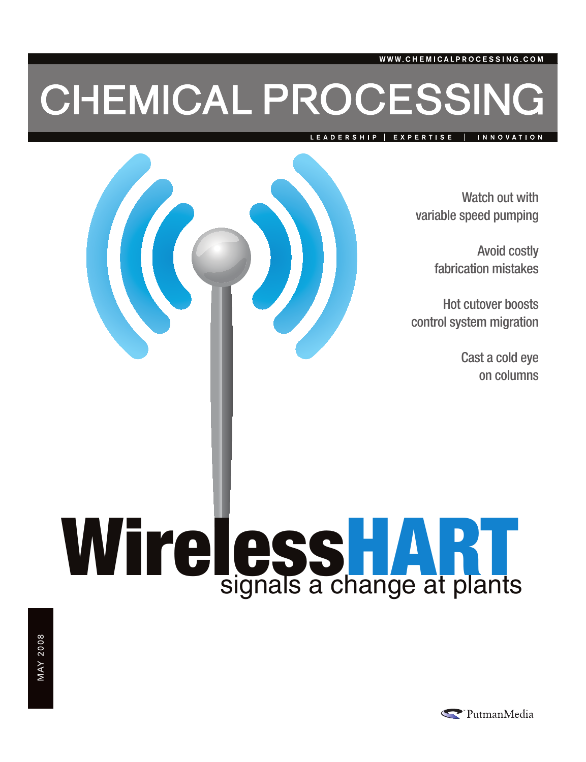### CHEMICAL PROCESSING

LEADERSHIP EXPERTISE INNOVATION

> Watch out with variable speed pumping

> > Avoid costly fabrication mistakes

Hot cutover boosts control system migration

> Cast a cold eye on columns

# Wireless HART

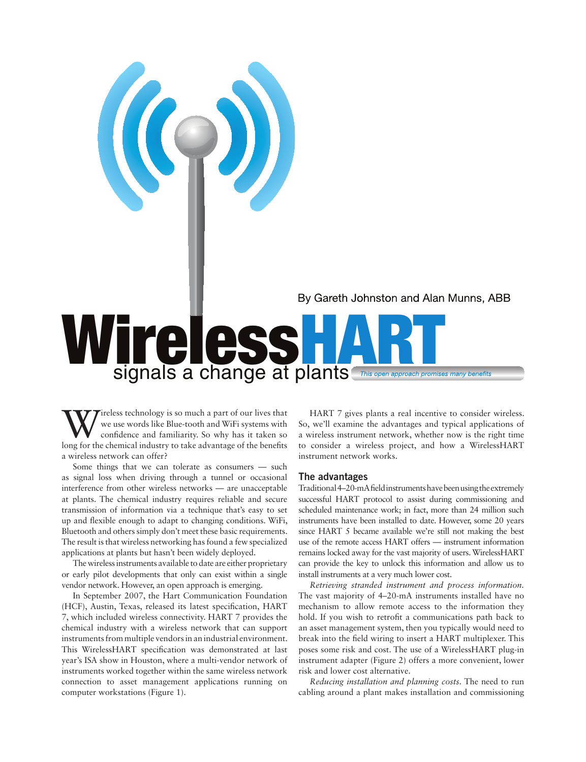

## Wireless Manuel ART

Wireless technology is so much a part of our lives that<br>confidence and familiarity. So why has it taken so<br>lang for the chamical induction to take during the handfus we use words like Blue-tooth and WiFi systems with confidence and familiarity. So why has it taken so long for the chemical industry to take advantage of the benefits a wireless network can offer?

 $\frac{1}{2}$ 

Some things that we can tolerate as consumers — such as signal loss when driving through a tunnel or occasional interference from other wireless networks — are unacceptable at plants. The chemical industry requires reliable and secure transmission of information via a technique that's easy to set up and flexible enough to adapt to changing conditions. WiFi, Bluetooth and others simply don't meet these basic requirements. The result is that wireless networking has found a few specialized applications at plants but hasn't been widely deployed.

The wireless instruments available to date are either proprietary or early pilot developments that only can exist within a single vendor network. However, an open approach is emerging.

In September 2007, the Hart Communication Foundation (HCF), Austin, Texas, released its latest specification, HART 7, which included wireless connectivity. HART 7 provides the chemical industry with a wireless network that can support instruments from multiple vendors in an industrial environment. This WirelessHART specification was demonstrated at last year's ISA show in Houston, where a multi-vendor network of instruments worked together within the same wireless network connection to asset management applications running on computer workstations (Figure 1).

HART 7 gives plants a real incentive to consider wireless. So, we'll examine the advantages and typical applications of a wireless instrument network, whether now is the right time to consider a wireless project, and how a WirelessHART instrument network works.

### The advantages

Traditional 4–20-mA field instruments have been using the extremely successful HART protocol to assist during commissioning and scheduled maintenance work; in fact, more than 24 million such instruments have been installed to date. However, some 20 years since HART 5 became available we're still not making the best use of the remote access HART offers — instrument information remains locked away for the vast majority of users. WirelessHART can provide the key to unlock this information and allow us to install instruments at a very much lower cost.

*Retrieving stranded instrument and process information.* The vast majority of 4–20-mA instruments installed have no mechanism to allow remote access to the information they hold. If you wish to retrofit a communications path back to an asset management system, then you typically would need to break into the field wiring to insert a HART multiplexer. This poses some risk and cost. The use of a WirelessHART plug-in instrument adapter (Figure 2) offers a more convenient, lower risk and lower cost alternative.

*Reducing installation and planning costs.* The need to run cabling around a plant makes installation and commissioning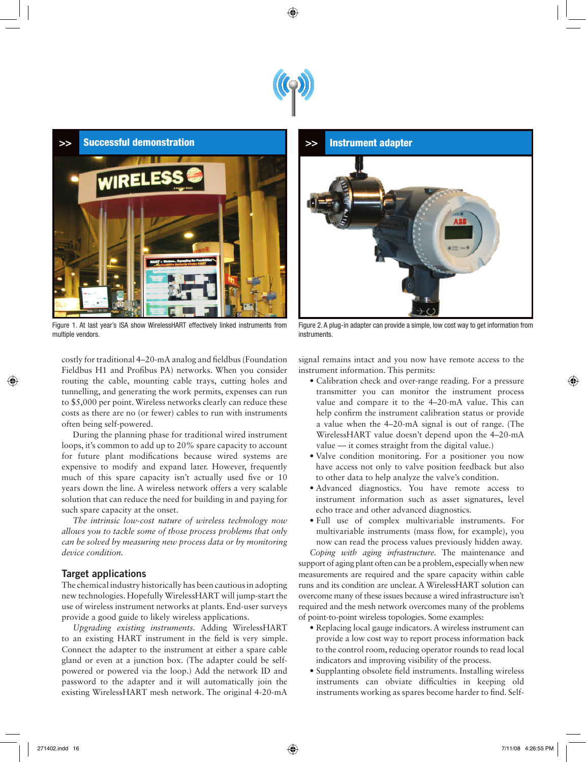



Figure 1. At last year's ISA show WirelessHART effectively linked instruments from multiple vendors.



Figure 2. A plug-in adapter can provide a simple, low cost way to get information from instruments.

costly for traditional 4–20-mA analog and fieldbus (Foundation Fieldbus H1 and Profibus PA) networks. When you consider routing the cable, mounting cable trays, cutting holes and tunnelling, and generating the work permits, expenses can run to \$5,000 per point. Wireless networks clearly can reduce these costs as there are no (or fewer) cables to run with instruments often being self-powered.

During the planning phase for traditional wired instrument loops, it's common to add up to 20% spare capacity to account for future plant modifications because wired systems are expensive to modify and expand later. However, frequently much of this spare capacity isn't actually used five or 10 years down the line. A wireless network offers a very scalable solution that can reduce the need for building in and paying for such spare capacity at the onset.

*The intrinsic low-cost nature of wireless technology now allows you to tackle some of those process problems that only can be solved by measuring new process data or by monitoring device condition.*

### Target applications

The chemical industry historically has been cautious in adopting new technologies. Hopefully WirelessHART will jump-start the use of wireless instrument networks at plants. End-user surveys provide a good guide to likely wireless applications.

*Upgrading existing instruments.* Adding WirelessHART to an existing HART instrument in the field is very simple. Connect the adapter to the instrument at either a spare cable gland or even at a junction box. (The adapter could be selfpowered or powered via the loop.) Add the network ID and password to the adapter and it will automatically join the existing WirelessHART mesh network. The original 4-20-mA

signal remains intact and you now have remote access to the instrument information. This permits:

- Calibration check and over-range reading. For a pressure transmitter you can monitor the instrument process value and compare it to the 4–20-mA value. This can help confirm the instrument calibration status or provide a value when the 4–20-mA signal is out of range. (The WirelessHART value doesn't depend upon the 4–20-mA value — it comes straight from the digital value.)
- Valve condition monitoring. For a positioner you now have access not only to valve position feedback but also to other data to help analyze the valve's condition.
- Advanced diagnostics. You have remote access to instrument information such as asset signatures, level echo trace and other advanced diagnostics.
- Full use of complex multivariable instruments. For multivariable instruments (mass flow, for example), you now can read the process values previously hidden away.

*Coping with aging infrastructure.* The maintenance and support of aging plant often can be a problem, especially when new measurements are required and the spare capacity within cable runs and its condition are unclear. A WirelessHART solution can overcome many of these issues because a wired infrastructure isn't required and the mesh network overcomes many of the problems of point-to-point wireless topologies. Some examples:

- Replacing local gauge indicators. A wireless instrument can provide a low cost way to report process information back to the control room, reducing operator rounds to read local indicators and improving visibility of the process.
- Supplanting obsolete field instruments. Installing wireless instruments can obviate difficulties in keeping old instruments working as spares become harder to find. Self-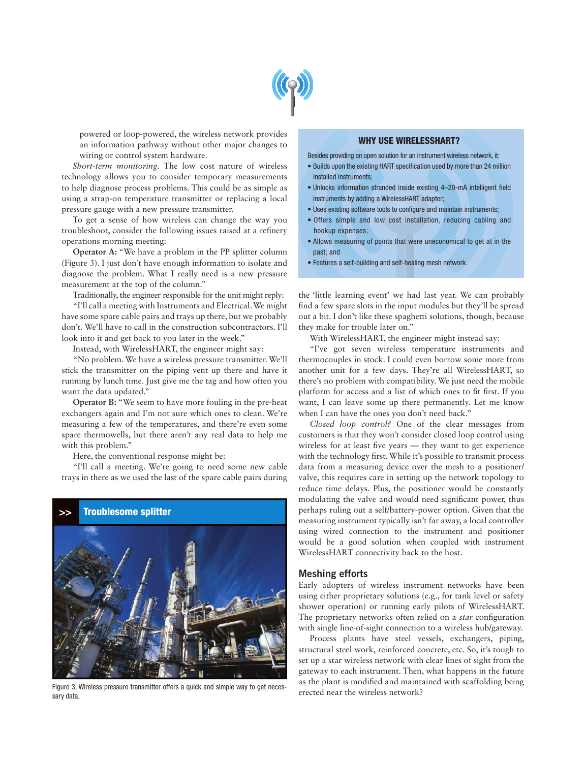

powered or loop-powered, the wireless network provides an information pathway without other major changes to wiring or control system hardware.

*Short-term monitoring.* The low cost nature of wireless technology allows you to consider temporary measurements to help diagnose process problems. This could be as simple as using a strap-on temperature transmitter or replacing a local pressure gauge with a new pressure transmitter.

To get a sense of how wireless can change the way you troubleshoot, consider the following issues raised at a refinery operations morning meeting:

**Operator A:** "We have a problem in the PP splitter column (Figure 3). I just don't have enough information to isolate and diagnose the problem. What I really need is a new pressure measurement at the top of the column."

Traditionally, the engineer responsible for the unit might reply:

"I'll call a meeting with Instruments and Electrical. We might have some spare cable pairs and trays up there, but we probably don't. We'll have to call in the construction subcontractors. I'll look into it and get back to you later in the week."

Instead, with WirelessHART, the engineer might say:

"No problem. We have a wireless pressure transmitter. We'll stick the transmitter on the piping vent up there and have it running by lunch time. Just give me the tag and how often you want the data updated."

**Operator B:** "We seem to have more fouling in the pre-heat exchangers again and I'm not sure which ones to clean. We're measuring a few of the temperatures, and there're even some spare thermowells, but there aren't any real data to help me with this problem."

Here, the conventional response might be:

"I'll call a meeting. We're going to need some new cable trays in there as we used the last of the spare cable pairs during



Figure 3. Wireless pressure transmitter offers a quick and simple way to get necessary data.

### WHY USE WIRELESSHART?

Besides providing an open solution for an instrument wireless network, it:

- Builds upon the existing HART specification used by more than 24 million installed instruments;
- Unlocks information stranded inside existing 4–20-mA intelligent field instruments by adding a WirelessHART adapter;
- Uses existing software tools to configure and maintain instruments;
- Offers simple and low cost installation, reducing cabling and hookup expenses;
- Allows measuring of points that were uneconomical to get at in the past; and
- Features a self-building and self-healing mesh network.

the 'little learning event' we had last year. We can probably find a few spare slots in the input modules but they'll be spread out a bit. I don't like these spaghetti solutions, though, because they make for trouble later on."

With WirelessHART, the engineer might instead say:

"I've got seven wireless temperature instruments and thermocouples in stock. I could even borrow some more from another unit for a few days. They're all WirelessHART, so there's no problem with compatibility. We just need the mobile platform for access and a list of which ones to fit first. If you want, I can leave some up there permanently. Let me know when I can have the ones you don't need back."

*Closed loop control?* One of the clear messages from customers is that they won't consider closed loop control using wireless for at least five years — they want to get experience with the technology first. While it's possible to transmit process data from a measuring device over the mesh to a positioner/ valve, this requires care in setting up the network topology to reduce time delays. Plus, the positioner would be constantly modulating the valve and would need significant power, thus perhaps ruling out a self/battery-power option. Given that the measuring instrument typically isn't far away, a local controller using wired connection to the instrument and positioner would be a good solution when coupled with instrument WirelessHART connectivity back to the host.

### Meshing efforts

Early adopters of wireless instrument networks have been using either proprietary solutions (e.g., for tank level or safety shower operation) or running early pilots of WirelessHART. The proprietary networks often relied on a *star* configuration with single line-of-sight connection to a wireless hub/gateway.

Process plants have steel vessels, exchangers, piping, structural steel work, reinforced concrete, etc. So, it's tough to set up a star wireless network with clear lines of sight from the gateway to each instrument. Then, what happens in the future as the plant is modified and maintained with scaffolding being erected near the wireless network?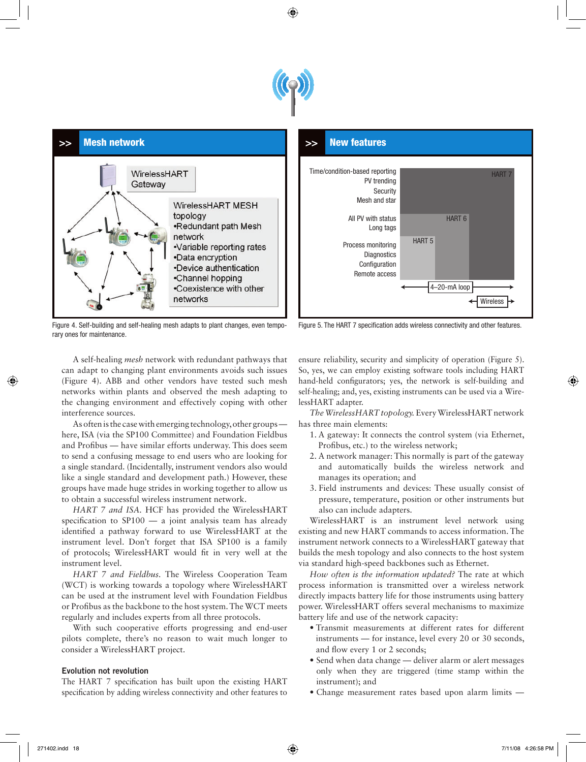



Figure 4. Self-building and self-healing mesh adapts to plant changes, even temporary ones for maintenance.



Figure 5. The HART 7 specification adds wireless connectivity and other features.

A self-healing *mesh* network with redundant pathways that can adapt to changing plant environments avoids such issues (Figure 4). ABB and other vendors have tested such mesh networks within plants and observed the mesh adapting to the changing environment and effectively coping with other interference sources.

As often is the case with emerging technology, other groups here, ISA (via the SP100 Committee) and Foundation Fieldbus and Profibus — have similar efforts underway. This does seem to send a confusing message to end users who are looking for a single standard. (Incidentally, instrument vendors also would like a single standard and development path.) However, these groups have made huge strides in working together to allow us to obtain a successful wireless instrument network.

*HART 7 and ISA.* HCF has provided the WirelessHART specification to  $SP100 - a$  joint analysis team has already identified a pathway forward to use WirelessHART at the instrument level. Don't forget that ISA SP100 is a family of protocols; WirelessHART would fit in very well at the instrument level.

*HART 7 and Fieldbus.* The Wireless Cooperation Team (WCT) is working towards a topology where WirelessHART can be used at the instrument level with Foundation Fieldbus or Profibus as the backbone to the host system. The WCT meets regularly and includes experts from all three protocols.

With such cooperative efforts progressing and end-user pilots complete, there's no reason to wait much longer to consider a WirelessHART project.

### Evolution not revolution

The HART 7 specification has built upon the existing HART specification by adding wireless connectivity and other features to ensure reliability, security and simplicity of operation (Figure 5). So, yes, we can employ existing software tools including HART hand-held configurators; yes, the network is self-building and self-healing; and, yes, existing instruments can be used via a WirelessHART adapter.

*The WirelessHART topology.* Every WirelessHART network has three main elements:

- 1. A gateway: It connects the control system (via Ethernet, Profibus, etc.) to the wireless network;
- 2. A network manager: This normally is part of the gateway and automatically builds the wireless network and manages its operation; and
- 3. Field instruments and devices: These usually consist of pressure, temperature, position or other instruments but also can include adapters.

WirelessHART is an instrument level network using existing and new HART commands to access information. The instrument network connects to a WirelessHART gateway that builds the mesh topology and also connects to the host system via standard high-speed backbones such as Ethernet.

*How often is the information updated?* The rate at which process information is transmitted over a wireless network directly impacts battery life for those instruments using battery power. WirelessHART offers several mechanisms to maximize battery life and use of the network capacity:

- Transmit measurements at different rates for different instruments — for instance, level every 20 or 30 seconds, and flow every 1 or 2 seconds;
- Send when data change deliver alarm or alert messages only when they are triggered (time stamp within the instrument); and
- Change measurement rates based upon alarm limits —